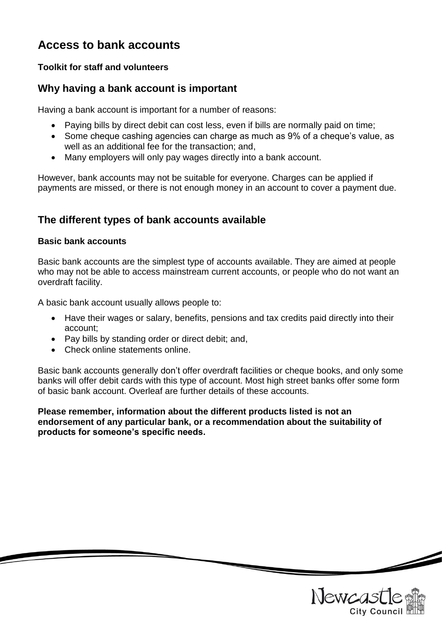# **Access to bank accounts**

### **Toolkit for staff and volunteers**

### **Why having a bank account is important**

Having a bank account is important for a number of reasons:

- Paying bills by direct debit can cost less, even if bills are normally paid on time;
- Some cheque cashing agencies can charge as much as 9% of a cheque's value, as well as an additional fee for the transaction; and,
- Many employers will only pay wages directly into a bank account.

However, bank accounts may not be suitable for everyone. Charges can be applied if payments are missed, or there is not enough money in an account to cover a payment due.

# **The different types of bank accounts available**

#### **Basic bank accounts**

Basic bank accounts are the simplest type of accounts available. They are aimed at people who may not be able to access mainstream current accounts, or people who do not want an overdraft facility.

A basic bank account usually allows people to:

- Have their wages or salary, benefits, pensions and tax credits paid directly into their account;
- Pay bills by standing order or direct debit; and,
- Check online statements online.

Basic bank accounts generally don't offer overdraft facilities or cheque books, and only some banks will offer debit cards with this type of account. Most high street banks offer some form of basic bank account. Overleaf are further details of these accounts.

**Please remember, information about the different products listed is not an endorsement of any particular bank, or a recommendation about the suitability of products for someone's specific needs.**

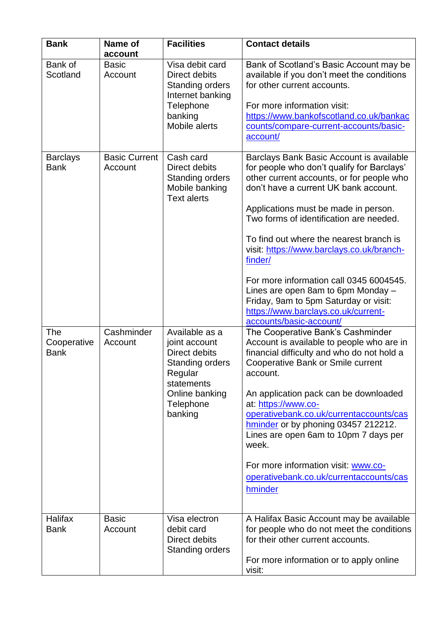| <b>Bank</b>                                                         | Name of<br>account                                       | <b>Facilities</b>                                                                                                                                                                                                                      | <b>Contact details</b>                                                                                                                                                                                                                                                                                                                                                                                                                                                                                                                                                                                                                                                                                                                                                                                                                                                                                                                                                                                                                           |
|---------------------------------------------------------------------|----------------------------------------------------------|----------------------------------------------------------------------------------------------------------------------------------------------------------------------------------------------------------------------------------------|--------------------------------------------------------------------------------------------------------------------------------------------------------------------------------------------------------------------------------------------------------------------------------------------------------------------------------------------------------------------------------------------------------------------------------------------------------------------------------------------------------------------------------------------------------------------------------------------------------------------------------------------------------------------------------------------------------------------------------------------------------------------------------------------------------------------------------------------------------------------------------------------------------------------------------------------------------------------------------------------------------------------------------------------------|
| Bank of<br>Scotland                                                 | <b>Basic</b><br>Account                                  | Visa debit card<br>Direct debits<br><b>Standing orders</b><br>Internet banking<br>Telephone<br>banking<br>Mobile alerts                                                                                                                | Bank of Scotland's Basic Account may be<br>available if you don't meet the conditions<br>for other current accounts.<br>For more information visit:<br>https://www.bankofscotland.co.uk/bankac<br>counts/compare-current-accounts/basic-<br>account/                                                                                                                                                                                                                                                                                                                                                                                                                                                                                                                                                                                                                                                                                                                                                                                             |
| <b>Barclays</b><br><b>Bank</b><br>The<br>Cooperative<br><b>Bank</b> | <b>Basic Current</b><br>Account<br>Cashminder<br>Account | Cash card<br>Direct debits<br><b>Standing orders</b><br>Mobile banking<br><b>Text alerts</b><br>Available as a<br>joint account<br>Direct debits<br>Standing orders<br>Regular<br>statements<br>Online banking<br>Telephone<br>banking | Barclays Bank Basic Account is available<br>for people who don't qualify for Barclays'<br>other current accounts, or for people who<br>don't have a current UK bank account.<br>Applications must be made in person.<br>Two forms of identification are needed.<br>To find out where the nearest branch is<br>visit: https://www.barclays.co.uk/branch-<br>finder/<br>For more information call 0345 6004545.<br>Lines are open 8am to 6pm Monday -<br>Friday, 9am to 5pm Saturday or visit:<br>https://www.barclays.co.uk/current-<br>accounts/basic-account/<br>The Cooperative Bank's Cashminder<br>Account is available to people who are in<br>financial difficulty and who do not hold a<br>Cooperative Bank or Smile current<br>account.<br>An application pack can be downloaded<br>at: https://www.co-<br>operativebank.co.uk/currentaccounts/cas<br>hminder or by phoning 03457 212212.<br>Lines are open 6am to 10pm 7 days per<br>week.<br>For more information visit: www.co-<br>operativebank.co.uk/currentaccounts/cas<br>hminder |
| <b>Halifax</b><br><b>Bank</b>                                       | <b>Basic</b><br>Account                                  | Visa electron<br>debit card<br>Direct debits<br><b>Standing orders</b>                                                                                                                                                                 | A Halifax Basic Account may be available<br>for people who do not meet the conditions<br>for their other current accounts.<br>For more information or to apply online<br>visit:                                                                                                                                                                                                                                                                                                                                                                                                                                                                                                                                                                                                                                                                                                                                                                                                                                                                  |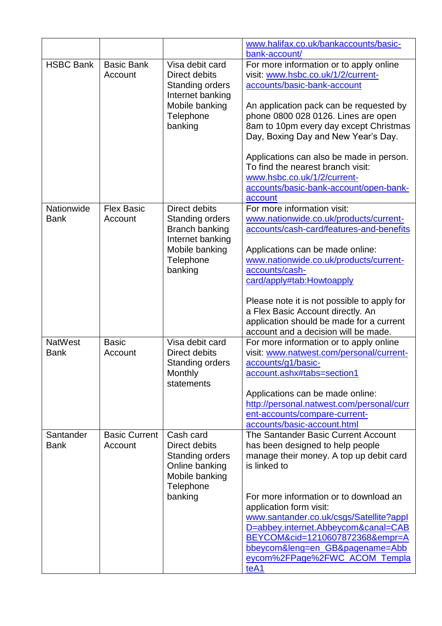|                               |                                 |                                                                                                                                | www.halifax.co.uk/bankaccounts/basic-<br>bank-account/                                                                                                                                                                                                                                                                                                                                                                                               |
|-------------------------------|---------------------------------|--------------------------------------------------------------------------------------------------------------------------------|------------------------------------------------------------------------------------------------------------------------------------------------------------------------------------------------------------------------------------------------------------------------------------------------------------------------------------------------------------------------------------------------------------------------------------------------------|
| <b>HSBC Bank</b>              | <b>Basic Bank</b><br>Account    | Visa debit card<br>Direct debits<br><b>Standing orders</b><br>Internet banking<br>Mobile banking<br>Telephone<br>banking       | For more information or to apply online<br>visit: www.hsbc.co.uk/1/2/current-<br>accounts/basic-bank-account<br>An application pack can be requested by<br>phone 0800 028 0126. Lines are open<br>8am to 10pm every day except Christmas<br>Day, Boxing Day and New Year's Day.<br>Applications can also be made in person.<br>To find the nearest branch visit:<br>www.hsbc.co.uk/1/2/current-<br>accounts/basic-bank-account/open-bank-<br>account |
| Nationwide<br><b>Bank</b>     | <b>Flex Basic</b><br>Account    | Direct debits<br><b>Standing orders</b><br><b>Branch banking</b><br>Internet banking<br>Mobile banking<br>Telephone<br>banking | For more information visit:<br>www.nationwide.co.uk/products/current-<br>accounts/cash-card/features-and-benefits<br>Applications can be made online:<br>www.nationwide.co.uk/products/current-<br>accounts/cash-<br>card/apply#tab:Howtoapply<br>Please note it is not possible to apply for<br>a Flex Basic Account directly. An<br>application should be made for a current<br>account and a decision will be made.                               |
| <b>NatWest</b><br><b>Bank</b> | <b>Basic</b><br>Account         | Visa debit card<br>Direct debits<br><b>Standing orders</b><br>Monthly<br>statements                                            | For more information or to apply online<br>visit: www.natwest.com/personal/current-<br>accounts/g1/basic-<br>account.ashx#tabs=section1<br>Applications can be made online:<br>http://personal.natwest.com/personal/curr<br>ent-accounts/compare-current-<br>accounts/basic-account.html                                                                                                                                                             |
| Santander<br><b>Bank</b>      | <b>Basic Current</b><br>Account | Cash card<br>Direct debits<br><b>Standing orders</b><br>Online banking<br>Mobile banking<br>Telephone<br>banking               | The Santander Basic Current Account<br>has been designed to help people<br>manage their money. A top up debit card<br>is linked to<br>For more information or to download an<br>application form visit:<br>www.santander.co.uk/csgs/Satellite?appl<br>D=abbey.internet.Abbeycom&canal=CAB<br>BEYCOM&cid=1210607872368&empr=A<br>bbeycom&leng=en_GB&pagename=Abb<br>eycom%2FPage%2FWC_ACOM_Templa<br>teA1                                             |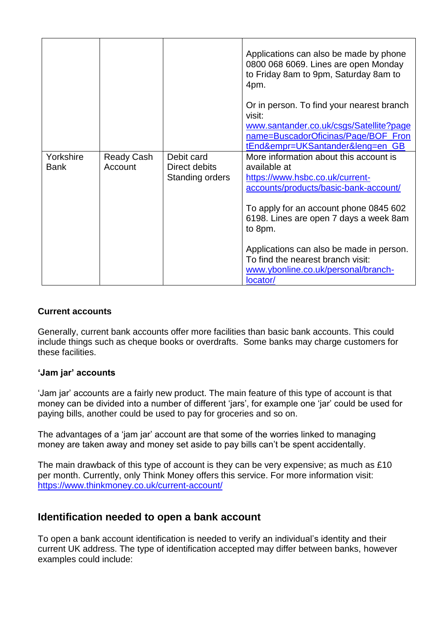|                          |                       |                                                       | Applications can also be made by phone<br>0800 068 6069. Lines are open Monday<br>to Friday 8am to 9pm, Saturday 8am to<br>4pm.<br>Or in person. To find your nearest branch<br>visit:<br>www.santander.co.uk/csgs/Satellite?page |
|--------------------------|-----------------------|-------------------------------------------------------|-----------------------------------------------------------------------------------------------------------------------------------------------------------------------------------------------------------------------------------|
|                          |                       |                                                       | name=BuscadorOficinas/Page/BOF_Fron<br>tEnd&empr=UKSantander&leng=en_GB                                                                                                                                                           |
| Yorkshire<br><b>Bank</b> | Ready Cash<br>Account | Debit card<br>Direct debits<br><b>Standing orders</b> | More information about this account is<br>available at<br>https://www.hsbc.co.uk/current-<br>accounts/products/basic-bank-account/<br>To apply for an account phone 0845 602<br>6198. Lines are open 7 days a week 8am            |
|                          |                       |                                                       | to 8pm.<br>Applications can also be made in person.<br>To find the nearest branch visit:<br>www.ybonline.co.uk/personal/branch-<br>locator/                                                                                       |

#### **Current accounts**

Generally, current bank accounts offer more facilities than basic bank accounts. This could include things such as cheque books or overdrafts. Some banks may charge customers for these facilities.

#### **'Jam jar' accounts**

'Jam jar' accounts are a fairly new product. The main feature of this type of account is that money can be divided into a number of different 'jars', for example one 'jar' could be used for paying bills, another could be used to pay for groceries and so on.

The advantages of a 'jam jar' account are that some of the worries linked to managing money are taken away and money set aside to pay bills can't be spent accidentally.

The main drawback of this type of account is they can be very expensive; as much as £10 per month. Currently, only Think Money offers this service. For more information visit: <https://www.thinkmoney.co.uk/current-account/>

### **Identification needed to open a bank account**

To open a bank account identification is needed to verify an individual's identity and their current UK address. The type of identification accepted may differ between banks, however examples could include: